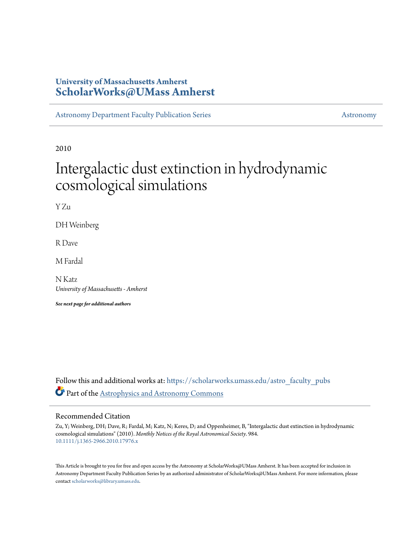# **University of Massachusetts Amherst [ScholarWorks@UMass Amherst](https://scholarworks.umass.edu?utm_source=scholarworks.umass.edu%2Fastro_faculty_pubs%2F984&utm_medium=PDF&utm_campaign=PDFCoverPages)**

[Astronomy Department Faculty Publication Series](https://scholarworks.umass.edu/astro_faculty_pubs?utm_source=scholarworks.umass.edu%2Fastro_faculty_pubs%2F984&utm_medium=PDF&utm_campaign=PDFCoverPages) [Astronomy](https://scholarworks.umass.edu/astro?utm_source=scholarworks.umass.edu%2Fastro_faculty_pubs%2F984&utm_medium=PDF&utm_campaign=PDFCoverPages) Astronomy

2010

# Intergalactic dust extinction in hydrodynamic cosmological simulations

Y Zu

DH Weinberg

R Dave

M Fardal

N Katz *University of Massachusetts - Amherst*

*See next page for additional authors*

Follow this and additional works at: [https://scholarworks.umass.edu/astro\\_faculty\\_pubs](https://scholarworks.umass.edu/astro_faculty_pubs?utm_source=scholarworks.umass.edu%2Fastro_faculty_pubs%2F984&utm_medium=PDF&utm_campaign=PDFCoverPages) Part of the [Astrophysics and Astronomy Commons](http://network.bepress.com/hgg/discipline/123?utm_source=scholarworks.umass.edu%2Fastro_faculty_pubs%2F984&utm_medium=PDF&utm_campaign=PDFCoverPages)

## Recommended Citation

Zu, Y; Weinberg, DH; Dave, R; Fardal, M; Katz, N; Keres, D; and Oppenheimer, B, "Intergalactic dust extinction in hydrodynamic cosmological simulations" (2010). *Monthly Notices of the Royal Astronomical Society*. 984. <10.1111/j.1365-2966.2010.17976.x>

This Article is brought to you for free and open access by the Astronomy at ScholarWorks@UMass Amherst. It has been accepted for inclusion in Astronomy Department Faculty Publication Series by an authorized administrator of ScholarWorks@UMass Amherst. For more information, please contact [scholarworks@library.umass.edu](mailto:scholarworks@library.umass.edu).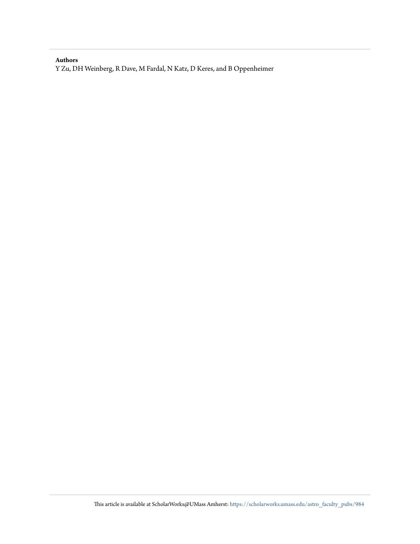## **Authors**

Y Zu, DH Weinberg, R Dave, M Fardal, N Katz, D Keres, and B Oppenheimer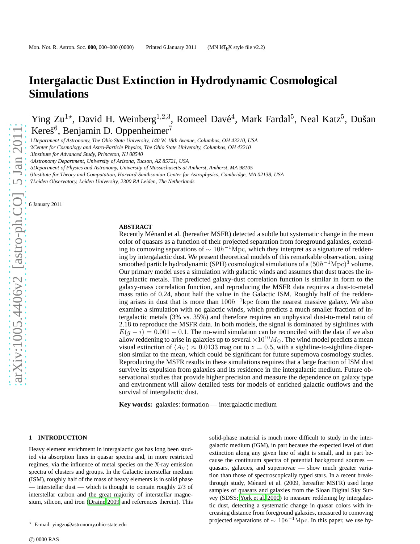# **Intergalactic Dust Extinction in Hydrodynamic Cosmological Simulations**

Ying Zu<sup>1\*</sup>, David H. Weinberg<sup>1,2,3</sup>, Romeel Davé<sup>4</sup>, Mark Fardal<sup>5</sup>, Neal Katz<sup>5</sup>, Dušan Kereš<sup>6</sup>, Benjamin D. Oppenheimer<sup>7</sup>

1*Department of Astronomy, The Ohio State University, 140 W. 18th Avenue, Columbus, OH 43210, USA*

2*Center for Cosmology and Astro-Particle Physics, The Ohio State University, Columbus, OH 43210*

3*Institute for Advanced Study, Princeton, NJ 08540*

4*Astronomy Department, University of Arizona, Tucson, AZ 85721, USA*

5*Department of Physics and Astronomy, University of Massachusetts at Amherst, Amherst, MA 98105*

6*Institute for Theory and Computation, Harvard-Smithsonian Center for Astrophysics, Cambridge, MA 02138, USA*

7*Leiden Observatory, Leiden University, 2300 RA Leiden, The Netherlands*

6 January 2011

#### **ABSTRACT**

Recently Ménard et al. (hereafter MSFR) detected a subtle but systematic change in the mean color of quasars as a function of their projected separation from foreground galaxies, extending to comoving separations of  $\sim 10h^{-1}$ Mpc, which they interpret as a signature of reddening by intergalactic dust. We present theoretical models of this remarkable observation, using smoothed particle hydrodynamic (SPH) cosmological simulations of a  $(50h^{-1}{\rm Mpc})^3$  volume. Our primary model uses a simulation with galactic winds and assumes that dust traces the intergalactic metals. The predicted galaxy-dust correlation function is similar in form to the galaxy-mass correlation function, and reproducing the MSFR data requires a dust-to-metal mass ratio of 0.24, about half the value in the Galactic ISM. Roughly half of the reddening arises in dust that is more than  $100h^{-1}$ kpc from the nearest massive galaxy. We also examine a simulation with no galactic winds, which predicts a much smaller fraction of intergalactic metals (3% vs. 35%) and therefore requires an unphysical dust-to-metal ratio of 2.18 to reproduce the MSFR data. In both models, the signal is dominated by sightlines with  $E(g - i) = 0.001 - 0.1$ . The no-wind simulation can be reconciled with the data if we also allow reddening to arise in galaxies up to several  $\times 10^{10} M_{\odot}$ . The wind model predicts a mean visual extinction of  $\langle A_V \rangle \approx 0.0133$  mag out to  $z = 0.5$ , with a sightline-to-sightline dispersion similar to the mean, which could be significant for future supernova cosmology studies. Reproducing the MSFR results in these simulations requires that a large fraction of ISM dust survive its expulsion from galaxies and its residence in the intergalactic medium. Future observational studies that provide higher precision and measure the dependence on galaxy type and environment will allow detailed tests for models of enriched galactic outflows and the survival of intergalactic dust.

**Key words:** galaxies: formation — intergalactic medium

#### **1 INTRODUCTION**

Heavy element enrichment in intergalactic gas has long been studied via absorption lines in quasar spectra and, in more restricted regimes, via the influence of metal species on the X-ray emission spectra of clusters and groups. In the Galactic interstellar medium (ISM), roughly half of the mass of heavy elements is in solid phase — interstellar dust — which is thought to contain roughly 2/3 of interstellar carbon and the great majority of interstellar magnesium, silicon, and iron [\(Draine 2009](#page-12-0) and references therein). This solid-phase material is much more difficult to study in the intergalactic medium (IGM), in part because the expected level of dust extinction along any given line of sight is small, and in part because the continuum spectra of potential background sources quasars, galaxies, and supernovae — show much greater variation than those of spectroscopically typed stars. In a recent breakthrough study, Ménard et al. (2009, hereafter MSFR) used large samples of quasars and galaxies from the Sloan Digital Sky Survey (SDSS; [York et al. 2000\)](#page-13-0) to measure reddening by intergalactic dust, detecting a systematic change in quasar colors with increasing distance from foreground galaxies, measured to comoving projected separations of  $\sim 10h^{-1}\text{Mpc}$ . In this paper, we use hy-

<sup>⋆</sup> E-mail: yingzu@astronomy.ohio-state.edu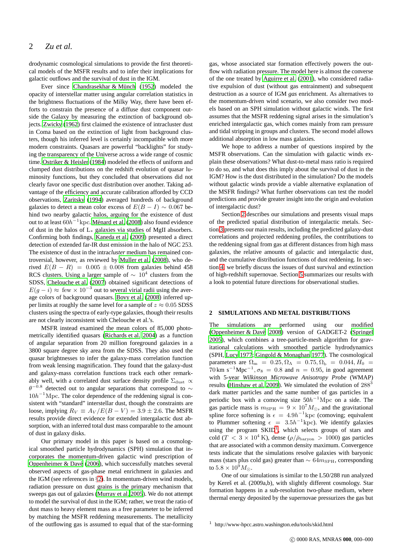drodynamic cosmological simulations to provide the first theoretical models of the MSFR results and to infer their implications for galactic outflows and the survival of dust in the IGM.

Ever since Chandrasekhar & Münch [\(1952](#page-12-1)) modeled the opacity of interstellar matter using angular correlation statistics in the brightness fluctuations of the Milky Way, there have been efforts to constrain the presence of a diffuse dust component outside the Galaxy by measuring the extinction of background objects. [Zwicky](#page-13-1) [\(1962](#page-13-1)) first claimed the existence of intracluster dust in Coma based on the extinction of light from background clusters, though his inferred level is certainly incompatible with more modern constraints. Quasars are powerful "backlights" for studying the transparency of the Universe across a wide range of cosmic time. [Ostriker & Heisler \(1984\)](#page-13-2) modeled the effects of uniform and clumped dust distributions on the redshift evolution of quasar luminosity functions, but they concluded that observations did not clearly favor one specific dust distribution over another. Taking advantage of the efficiency and accurate calibration afforded by CCD observations, [Zaritsky \(1994\)](#page-13-3) averaged hundreds of background galaxies to detect a mean color excess of  $E(B - I) \sim 0.067$  behind two nearby galactic halos, arguing for the existence of dust out to at least  $60h^{-1}\mathrm{kpc}.$  Ménard et al. (2008) also found evidence of dust in the halos of L<sup>∗</sup> galaxies via studies of MgII absorbers. Confirming both findings, [Kaneda et al.](#page-12-3) [\(2009](#page-12-3)) presented a direct detection of extended far-IR dust emission in the halo of NGC 253. The existence of dust in the intra*cluster* medium has remained controversial, however, as reviewed by [Muller et al. \(2008\)](#page-12-4), who derived  $E(B - R) = 0.005 \pm 0.008$  from galaxies behind 458 RCS clusters. Using a larger sample of  $\sim 10^4$  clusters from the SDSS, [Chelouche et al. \(2007\)](#page-12-5) obtained significant detections of  $E(g - i) \approx$  few  $\times 10^{-3}$  out to several virial radii using the average colors of background quasars. [Bovy et al. \(2008](#page-12-6)) inferred upper limits at roughly the same level for a sample of  $z \approx 0.05$  SDSS clusters using the spectra of early-type galaxies, though their results are not clearly inconsistent with Chelouche et al.'s.

MSFR instead examined the mean colors of 85,000 photometrically identified quasars [\(Richards et al. 2004](#page-13-4)) as a function of angular separation from 20 million foreground galaxies in a 3800 square degree sky area from the SDSS. They also used the quasar brightnesses to infer the galaxy-mass correlation function from weak lensing magnification. They found that the galaxy-dust and galaxy-mass correlation functions track each other remarkably well, with a correlated dust surface density profile  $\Sigma_{\rm dust} \propto$  $\theta$ <sup>-0.8</sup> detected out to angular separations that correspond to  $\sim$  $10h^{-1}$ Mpc. The color dependence of the reddening signal is consistent with "standard" interstellar dust, though the constraints are loose, implying  $R_V \equiv A_V / E(B - V) = 3.9 \pm 2.6$ . The MSFR results provide direct evidence for extended intergalactic dust absorption, with an inferred total dust mass comparable to the amount of dust in galaxy disks.

Our primary model in this paper is based on a cosmological smoothed particle hydrodynamics (SPH) simulation that incorporates the momentum-driven galactic wind prescription of Oppenheimer  $&$  Davé (2006), which successfully matches several observed aspects of gas-phase metal enrichment in galaxies and the IGM (see references in §[2\)](#page-3-0). In momentum-driven wind models, radiation pressure on dust grains is the primary mechanism that sweeps gas out of galaxies [\(Murray et al. 2005](#page-12-7)). We do not attempt to model the survival of dust in the IGM; rather, we treat the ratio of dust mass to heavy element mass as a free parameter to be inferred by matching the MSFR reddening measurements. The metallicity of the outflowing gas is assumed to equal that of the star-forming gas, whose associated star formation effectively powers the outflow with radiation pressure. The model here is almost the converse of the one treated by [Aguirre et al. \(2001](#page-12-8)), who considered radiative expulsion of dust (without gas entrainment) and subsequent destruction as a source of IGM *gas* enrichment. As alternatives to the momentum-driven wind scenario, we also consider two models based on an SPH simulation without galactic winds. The first assumes that the MSFR reddening signal arises in the simulation's enriched intergalactic gas, which comes mainly from ram pressure and tidal stripping in groups and clusters. The second model allows additional absorption in low mass galaxies.

We hope to address a number of questions inspired by the MSFR observations. Can the simulation with galactic winds explain these observations? What dust-to-metal mass ratio is required to do so, and what does this imply about the survival of dust in the IGM? How is the dust distributed in the simulation? Do the models without galactic winds provide a viable alternative explanation of the MSFR findings? What further observations can test the model predictions and provide greater insight into the origin and evolution of intergalactic dust?

Section [2](#page-3-0) describes our simulations and presents visual maps of the predicted spatial distribution of intergalactic metals. Section [3](#page-4-0) presents our main results, including the predicted galaxy-dust correlations and projected reddening profiles, the contributions to the reddening signal from gas at different distances from high mass galaxies, the relative amounts of galactic and intergalactic dust, and the cumulative distribution functions of dust reddening. In section [4,](#page-9-0) we briefly discuss the issues of dust survival and extinction of high-redshift supernovae. Section [5](#page-11-0) summarizes our results with a look to potential future directions for observational studies.

#### <span id="page-3-0"></span>**2 SIMULATIONS AND METAL DISTRIBUTIONS**

The simulations are performed using our modified [\(Oppenheimer & Dav´e 2008](#page-13-6)) version of GADGET-2 [\(Springel](#page-13-7) [2005](#page-13-7)), which combines a tree-particle-mesh algorithm for gravitational calculations with smoothed particle hydrodynamics (SPH, [Lucy 1977;](#page-12-9) [Gingold & Monaghan 1977](#page-12-10)). The cosmological parameters are  $\Omega_{\rm m} = 0.25, \Omega_{\Lambda} = 0.75, \Omega_{\rm b} = 0.044, H_0 = 0.044$  $70 \text{ km s}^{-1} \text{Mpc}^{-1}$ ,  $\sigma_8 = 0.8$  and  $n = 0.95$ , in good agreement with 5-year *Wilkinson Microwave Anisotropy Probe* (WMAP) results [\(Hinshaw et al. 2009](#page-12-11)). We simulated the evolution of 288<sup>3</sup> dark matter particles and the same number of gas particles in a periodic box with a comoving size  $50h^{-1}\text{Mpc}$  on a side. The gas particle mass is  $m_{\text{SPH}} = 9 \times 10^7 M_{\odot}$ , and the gravitational spline force softening is  $\epsilon = 4.9h^{-1}$ kpc (comoving; equivalent to Plummer softening  $\epsilon = 3.5h^{-1}$ kpc). We identify galaxies using the program  $SKID<sup>1</sup>$  $SKID<sup>1</sup>$  $SKID<sup>1</sup>$ , which selects groups of stars and cold (T <  $3 \times 10^4$  K), dense ( $\rho/\bar{\rho}_{\rm baryon} > 1000$ ) gas particles that are associated with a common density maximum. Convergence tests indicate that the simulations resolve galaxies with baryonic mass (stars plus cold gas) greater than  $\sim 64 m_{\rm SPH}$ , corresponding to  $5.8 \times 10^9 M_{\odot}$ .

One of our simulations is similar to the L50/288 run analyzed by Kereš et al. (2009a,b), with slightly different cosmology. Star formation happens in a sub-resolution two-phase medium, where thermal energy deposited by the supernovae pressurizes the gas but

<span id="page-3-1"></span><sup>1</sup> http://www-hpcc.astro.washington.edu/tools/skid.html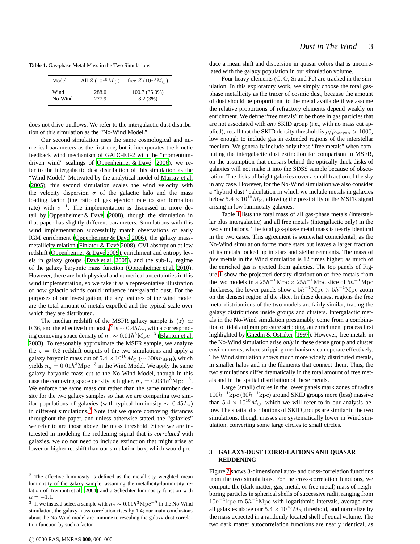**Table 1.** Gas-phase Metal Mass in the Two Simulations

<span id="page-4-3"></span>

| Model   | All $Z(10^{10}M_{\odot})$ | free $Z(10^{10} M_{\odot})$ |
|---------|---------------------------|-----------------------------|
| Wind    | 288.0                     | $100.7(35.0\%)$             |
| No-Wind | 277.9                     | 8.2(3%)                     |

does not drive outflows. We refer to the intergalactic dust distribution of this simulation as the "No-Wind Model."

Our second simulation uses the same cosmological and numerical parameters as the first one, but it incorporates the kinetic feedback wind mechanism of GADGET-2 with the "momentumdriven wind" scalings of Oppenheimer & Davé (2006); we refer to the intergalactic dust distribution of this simulation as the "Wind Model." Motivated by the analytical model of [Murray et](#page-12-7) al. [\(2005\)](#page-12-7), this second simulation scales the wind velocity with the velocity dispersion  $\sigma$  of the galactic halo and the mass loading factor (the ratio of gas ejection rate to star formation rate) with  $\sigma^{-1}$ . The implementation is discussed in more de-tail by Oppenheimer & Davé [\(2008](#page-13-6)), though the simulation in that paper has slightly different parameters. Simulations with this wind implementation successfully match observations of early IGM enrichment (Oppenheimer & Davé 2006), the galaxy massmetallicity relation (Finlator & Davé 2008), OVI absorption at low redshift (Oppenheimer & Davé 2009), enrichment and entropy levels in galaxy groups [\(Dav´e et al. 2008](#page-12-13)), and the sub-L<sup>∗</sup> regime of the galaxy baryonic mass function [\(Oppenheimer et al. 2010\)](#page-13-9). However, there are both physical and numerical uncertainties in this wind implementation, so we take it as a representative illustration of how galactic winds could influence intergalactic dust. For the purposes of our investigation, the key features of the wind model are the total amount of metals expelled and the typical scale over which they are distributed.

The median redshift of the MSFR galaxy sample is  $\langle z \rangle \simeq$ 0.36, and the effective luminosity<sup>[2](#page-4-1)</sup> is  $\sim 0.45L_*$ , with a corresponding comoving space density of  $n_g \sim 0.01 h^3 {\rm Mpc}^{-3}$  [\(Blanton et al.](#page-12-14) [2003](#page-12-14)). To reasonably approximate the MSFR sample, we analyze the  $z = 0.3$  redshift outputs of the two simulations and apply a galaxy baryonic mass cut of  $5.4 \times 10^{10} M_{\odot}$  (~ 600 $m_{\text{SPH}}$ ), which yields  $n_g = 0.01 h^3 \text{Mpc}^{-3}$  in the Wind Model. We apply the same galaxy baryonic mass cut to the No-Wind Model, though in this case the comoving space density is higher,  $n_g = 0.033h^3 \text{Mpc}^{-3}$ . We enforce the same mass cut rather than the same number density for the two galaxy samples so that we are comparing two similar populations of galaxies (with typical luminosity  $\sim 0.45L_*$ ) in different simulations.<sup>[3](#page-4-2)</sup> Note that we quote comoving distances throughout the paper, and unless otherwise stated, the "galaxies" we refer to are those above the mass threshold. Since we are interested in modeling the reddening signal that is *correlated* with galaxies, we do not need to include extinction that might arise at lower or higher redshift than our simulation box, which would pro-

duce a mean shift and dispersion in quasar colors that is uncorrelated with the galaxy population in our simulation volume.

Four heavy elements (C, O, Si and Fe) are tracked in the simulation. In this exploratory work, we simply choose the total gasphase metallicity as the tracer of cosmic dust, because the amount of dust should be proportional to the metal available if we assume the relative proportions of refractory elements depend weakly on enrichment. We define "free metals" to be those in gas particles that are not associated with *any* SKID group (i.e., with no mass cut applied); recall that the SKID density threshold is  $\rho/\bar{\rho}_{\rm baryon} > 1000$ , low enough to include gas in extended regions of the interstellar medium. We generally include only these "free metals" when computing the intergalactic dust extinction for comparison to MSFR, on the assumption that quasars behind the optically thick disks of galaxies will not make it into the SDSS sample because of obscuration. The disks of bright galaxies cover a small fraction of the sky in any case. However, for the No-Wind simulation we also consider a "hybrid dust" calculation in which we include metals in galaxies below  $5.4 \times 10^{10} M_{\odot}$ , allowing the possibility of the MSFR signal arising in low luminosity galaxies.

Table [1](#page-4-3) lists the total mass of all gas-phase metals (interstellar plus intergalactic) and all free metals (intergalactic only) in the two simulations. The total gas-phase metal mass is nearly identical in the two cases. This agreement is somewhat coincidental, as the No-Wind simulation forms more stars but leaves a larger fraction of its metals locked up in stars and stellar remnants. The mass of *free* metals in the Wind simulation is 12 times higher, as much of the enriched gas is ejected from galaxies. The top panels of Figure [1](#page-5-0) show the projected density distribution of free metals from the two models in a  $25h^{-1}\text{Mpc} \times 25h^{-1}\text{Mpc}$  slice of  $5h^{-1}\text{Mpc}$ thickness; the lower panels show a  $5h^{-1}\text{Mpc} \times 5h^{-1}\text{Mpc}$  zoom on the densest region of the slice. In these densest regions the free metal distributions of the two models are fairly similar, tracing the galaxy distributions inside groups and clusters. Intergalactic metals in the No-Wind simulation presumably come from a combination of tidal and ram pressure stripping, an enrichment process first highlighted by [Gnedin & Ostriker](#page-12-15) [\(1997](#page-12-15)). However, free metals in the No-Wind simulation arise *only* in these dense group and cluster environments, where stripping mechanisms can operate effectively. The Wind simulation shows much more widely distributed metals, in smaller halos and in the filaments that connect them. Thus, the two simulations differ dramatically in the total amount of free metals and in the spatial distribution of these metals.

Large (small) circles in the lower panels mark zones of radius  $100h^{-1}$ kpc (30 $h^{-1}$ kpc) around SKID groups more (less) massive than  $5.4 \times 10^{10} M_{\odot}$ , which we will refer to in our analysis below. The spatial distributions of SKID groups are similar in the two simulations, though masses are systematically lower in Wind simulation, converting some large circles to small circles.

#### <span id="page-4-0"></span>**3 GALAXY-DUST CORRELATIONS AND QUASAR REDDENING**

Figure [2](#page-6-0) shows 3-dimensional auto- and cross-correlation functions from the two simulations. For the cross-correlation functions, we compute the (dark matter, gas, metal, or free metal) mass of neighboring particles in spherical shells of successive radii, ranging from  $10h^{-1}$ kpc to  $5h^{-1}$ Mpc with logarithmic intervals, average over all galaxies above our  $5.4 \times 10^{10} M_{\odot}$  threshold, and normalize by the mass expected in a randomly located shell of equal volume. The two dark matter autocorrelation functions are nearly identical, as

<span id="page-4-1"></span> $2$  The effective luminosity is defined as the metallicity weighted mean luminosity of the galaxy sample, assuming the metallicity-luminosity relation of [Tremonti et al. \(2004\)](#page-13-10) and a Schechter luminosity function with  $\alpha = -1.1$ .

<span id="page-4-2"></span><sup>&</sup>lt;sup>3</sup> If we instead select a sample with  $n_g \sim 0.01 h^3 \text{Mpc}^{-3}$  in the No-Wind simulation, the galaxy-mass correlation rises by 1.4; our main conclusions about the No-Wind model are immune to rescaling the galaxy-dust correlation function by such a factor.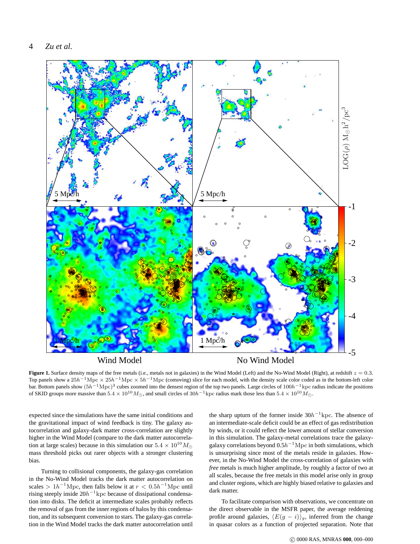

Wind Model

No Wind Model

<span id="page-5-0"></span>**Figure 1.** Surface density maps of the free metals (i.e., metals not in galaxies) in the Wind Model (Left) and the No-Wind Model (Right), at redshift  $z = 0.3$ . Top panels show a  $25h^{-1}\text{Mpc} \times 25h^{-1}\text{Mpc} \times 5h^{-1}\text{Mpc}$  (comoving) slice for each model, with the density scale color coded as in the bottom-left color bar. Bottom panels show  $(5h^{-1}{\rm Mpc})^3$  cubes zoomed into the densest region of the top two panels. Large circles of  $100h^{-1}{\rm kpc}$  radius indicate the positions of SKID groups more massive than  $5.4 \times 10^{10} M_{\odot}$ , and small circles of  $30h^{-1}$ kpc radius mark those less than  $5.4 \times 10^{10} M_{\odot}$ .

expected since the simulations have the same initial conditions and the gravitational impact of wind feedback is tiny. The galaxy autocorrelation and galaxy-dark matter cross-correlation are slightly higher in the Wind Model (compare to the dark matter autocorrelation at large scales) because in this simulation our  $5.4 \times 10^{10} M_{\odot}$ mass threshold picks out rarer objects with a stronger clustering bias.

Turning to collisional components, the galaxy-gas correlation in the No-Wind Model tracks the dark matter autocorrelation on scales >  $1h^{-1}$ Mpc, then falls below it at  $r < 0.5h^{-1}$ Mpc until rising steeply inside  $20h^{-1}$ kpc because of dissipational condensation into disks. The deficit at intermediate scales probably reflects the removal of gas from the inner regions of halos by this condensation, and its subsequent conversion to stars. The galaxy-gas correlation in the Wind Model tracks the dark matter autocorrelation until

the sharp upturn of the former inside  $30h^{-1}$ kpc. The absence of an intermediate-scale deficit could be an effect of gas redistribution by winds, or it could reflect the lower amount of stellar conversion in this simulation. The galaxy-metal correlations trace the galaxygalaxy correlations beyond  $0.5h^{-1}\text{Mpc}$  in both simulations, which is unsurprising since most of the metals reside in galaxies. However, in the No-Wind Model the cross-correlation of galaxies with *free* metals is much higher amplitude, by roughly a factor of two at all scales, because the free metals in this model arise only in group and cluster regions, which are highly biased relative to galaxies and dark matter.

To facilitate comparison with observations, we concentrate on the direct observable in the MSFR paper, the average reddening profile around galaxies,  $\langle E(g - i)\rangle_g$ , inferred from the change in quasar colors as a function of projected separation. Note that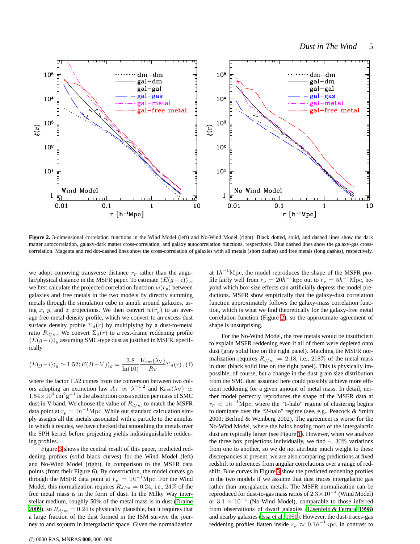

<span id="page-6-0"></span>Figure 2. 3-dimensional correlation functions in the Wind Model (left) and No-Wind Model (right). Black dotted, solid, and dashed lines show the dark matter autocorrelation, galaxy-dark matter cross-correlation, and galaxy autocorrelation functions, respectively. Blue dashed lines show the galaxy-gas crosscorrelation. Magenta and red dot-dashed lines show the cross-correlation of galaxies with all metals (short dashes) and free metals (long dashes), respectively.

we adopt comoving transverse distance  $r_p$  rather than the angular/physical distance in the MSFR paper. To estimate  $\langle E(g - i)\rangle_g$ , we first calculate the projected correlation function  $w(r_p)$  between galaxies and free metals in the two models by directly summing metals through the simulation cube in annuli around galaxies, using x, y, and z projections. We then convert  $w(r_p)$  to an average free-metal density profile, which we convert to an excess dust surface density profile  $\Sigma_d(r)$  by multiplying by a dust-to-metal ratio  $R_{d/m}$ . We convert  $\Sigma_d(r)$  to a rest-frame reddening profile  $\langle E(g-i)\rangle_{g}$  assuming SMC-type dust as justified in MSFR, specifically

$$
\langle E(g-i) \rangle_g \simeq 1.52 \langle E(B-V) \rangle_g = \frac{3.8}{\ln(10)} \frac{\text{K}_{\text{ext}}(\lambda \text{V})}{R_{\text{V}}} \Sigma_d(r) , (1)
$$

where the factor 1.52 comes from the conversion between two colors adopting an extinction law  $A_{\lambda} \propto \lambda^{-1.2}$  and  $K_{ext}(\lambda_V) \simeq$  $1.54 \times 10^4$  cm<sup>2</sup>g<sup>-1</sup> is the absorption cross section per mass of SMC dust in V-band. We choose the value of  $R_{d/m}$  to match the MSFR data point at  $r_p = 1h^{-1}$ Mpc. While our standard calculation simply assigns all the metals associated with a particle to the annulus in which it resides, we have checked that smoothing the metals over the SPH kernel before projecting yields indistinguishable reddening profiles.

Figure [3](#page-7-0) shows the central result of this paper, predicted reddening profiles (solid black curves) for the Wind Model (left) and No-Wind Model (right), in comparison to the MSFR data points (from their Figure 6). By construction, the model curves go through the MSFR data point at  $r_p = 1h^{-1}$ Mpc. For the Wind Model, this normalization requires  $R_{d/m} = 0.24$ , i.e., 24% of the free metal mass is in the form of dust. In the Milky Way interstellar medium, roughly 50% of the metal mass is in dust [\(Draine](#page-12-0) [2009\)](#page-12-0), so  $R_{d/m} = 0.24$  is physically plausible, but it requires that a large fraction of the dust formed in the ISM survive the journey to and sojourn in intergalactic space. Given the normalization

c 0000 RAS, MNRAS **000**, 000–000

at  $1h^{-1}\text{Mpc}$ , the model reproduces the shape of the MSFR profile fairly well from  $r_p = 20h^{-1}$ kpc out to  $r_p = 5h^{-1}$ Mpc, beyond which box-size effects can artificially depress the model predictions. MSFR show empirically that the galaxy-dust correlation function approximately follows the galaxy-mass correlation function, which is what we find theoretically for the galaxy-free metal correlation function (Figure [2\)](#page-6-0), so the approximate agreement of shape is unsurprising.

For the No-Wind Model, the free metals would be insufficient to explain MSFR reddening even if all of them were depleted onto dust (gray solid line on the right panel). Matching the MSFR normalization requires  $R_{d/m} = 2.18$ , i.e., 218% of the metal mass in dust (black solid line on the right panel). This is physically impossible, of course, but a change in the dust grain size distribution from the SMC dust assumed here could possibly achieve more efficient reddening for a given amount of metal mass. In detail, neither model perfectly reproduces the shape of the MSFR data at  $r_p < 1h^{-1}$ Mpc, where the "1-halo" regime of clustering begins to dominate over the "2-halo" regime (see, e.g., Peacock & Smith 2000; Berlind & Weinberg 2002). The agreement is worse for the No-Wind Model, where the halos hosting most of the intergalactic dust are typically larger (see Figure [1\)](#page-5-0). However, when we analyze the three box projections individually, we find  $\sim 30\%$  variations from one to another, so we do not attribute much weight to these discrepancies at present; we are also comparing predictions at fixed redshift to inferences from angular correlations over a range of redshift. Blue curves in Figure [3](#page-7-0) show the predicted reddening profiles in the two models if we assume that dust traces intergalactic gas rather than intergalactic metals. The MSFR normalization can be reproduced for dust-to-gas mass ratios of  $2.3\times10^{-4}$  (Wind Model) or  $3.1 \times 10^{-4}$  (No-Wind Model), comparable to those inferred from observations of dwarf galaxies [\(Lisenfeld & Ferrara 1998](#page-12-16)) and nearby galaxies [\(Issa et al. 1990](#page-12-17)). However, the dust-traces-gas reddening profiles flatten inside  $r_p \approx 0.1h^{-1}$ kpc, in contrast to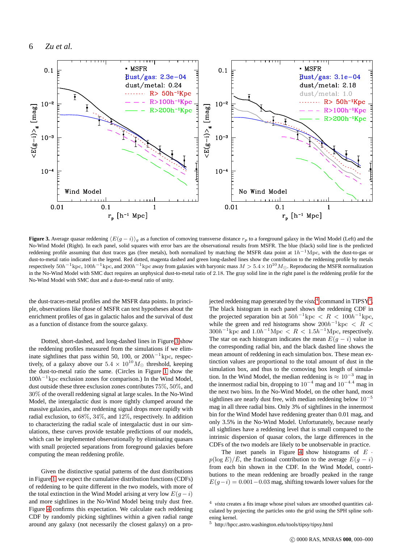

<span id="page-7-0"></span>**Figure 3.** Average quasar reddening  $\langle E(g - i) \rangle_q$  as a function of comoving transverse distance  $r_p$  to a foreground galaxy in the Wind Model (Left) and the No-Wind Model (Right). In each panel, solid squares with error bars are the observational results from MSFR. The blue (black) solid line is the predicted reddening profile assuming that dust traces gas (free metals), both normalized by matching the MSFR data point at  $1h^{-1}\text{Mpc}$ , with the dust-to-gas or dust-to-metal ratio indicated in the legend. Red dotted, magenta dashed and green long-dashed lines show the contribution to the reddening profile by metals respectively  $50h^{-1}$ kpc,  $100h^{-1}$ kpc, and  $200h^{-1}$ kpc away from galaxies with baryonic mass  $M > 5.4 \times 10^{10} M_{\odot}$ . Reproducing the MSFR normalization in the No-Wind Model with SMC duct requires an unphysical dust-to-metal ratio of 2.18. The gray solid line in the right panel is the reddening profile for the No-Wind Model with SMC dust and a dust-to-metal ratio of unity.

the dust-traces-metal profiles and the MSFR data points. In principle, observations like those of MSFR can test hypotheses about the enrichment profiles of gas in galactic halos and the survival of dust as a function of distance from the source galaxy.

Dotted, short-dashed, and long-dashed lines in Figure [3](#page-7-0) show the reddening profiles measured from the simulations if we eliminate sightlines that pass within 50, 100, or  $200h^{-1}$  kpc, respectively, of a galaxy above our  $5.4 \times 10^{10} M_{\odot}$  threshold, keeping the dust-to-metal ratio the same. (Circles in Figure [1](#page-5-0) show the  $100h^{-1}$  kpc exclusion zones for comparison.) In the Wind Model, dust outside these three exclusion zones contributes 75%, 50%, and 30% of the overall reddening signal at large scales. In the No-Wind Model, the intergalactic dust is more tightly clumped around the massive galaxies, and the reddening signal drops more rapidly with radial exclusion, to 68%, 34%, and 12%, respectively. In addition to characterizing the radial scale of intergalactic dust in our simulations, these curves provide testable predictions of our models, which can be implemented observationally by eliminating quasars with small projected separations from foreground galaxies before computing the mean reddening profile.

Given the distinctive spatial patterns of the dust distributions in Figure [1,](#page-5-0) we expect the cumulative distribution functions (CDFs) of reddening to be quite different in the two models, with more of the total extinction in the Wind Model arising at very low  $E(g - i)$ and more sightlines in the No-Wind Model being truly dust free. Figure [4](#page-8-0) confirms this expectation. We calculate each reddening CDF by randomly picking sightlines within a given radial range around any galaxy (not necessarily the closest galaxy) on a pro-

jected reddening map generated by the *vista*<sup>[4](#page-7-1)</sup> command in TIPSY<sup>[5](#page-7-2)</sup>. The black histogram in each panel shows the reddening CDF in the projected separation bin at  $50h^{-1}{\rm kpc} < R < 100h^{-1}{\rm kpc}$ , while the green and red histograms show  $200h^{-1}$ kpc < R <  $300h^{-1}$ kpc and  $1.0h^{-1}$ Mpc <  $R$  <  $1.5h^{-1}$ Mpc, respectively. The star on each histogram indicates the mean  $E(g - i)$  value in the corresponding radial bin, and the black dashed line shows the mean amount of reddening in each simulation box. These mean extinction values are proportional to the total amount of dust in the simulation box, and thus to the comoving box length of simulation. In the Wind Model, the median reddening is  $\approx 10^{-3}$  mag in the innermost radial bin, dropping to  $10^{-4}$  mag and  $10^{-4.4}$  mag in the next two bins. In the No-Wind Model, on the other hand, most sightlines are nearly dust free, with median reddening below  $10^{-5}$ mag in all three radial bins. Only 3% of sightlines in the innermost bin for the Wind Model have reddening greater than 0.01 mag, and only 3.5% in the No-Wind Model. Unfortunately, because nearly all sightlines have a reddening level that is small compared to the intrinsic dispersion of quasar colors, the large differences in the CDFs of the two models are likely to be unobservable in practice.

The inset panels in Figure [4](#page-8-0) show histograms of  $E \cdot$  $p(\log E)/\bar{E}$ , the fractional contribution to the average  $E(g - i)$ from each bin shown in the CDF. In the Wind Model, contributions to the mean reddening are broadly peaked in the range  $E(q-i) = 0.001 - 0.03$  mag, shifting towards lower values for the

<span id="page-7-1"></span><sup>&</sup>lt;sup>4</sup> vista creates a fits image whose pixel values are smoothed quantities calculated by projecting the particles onto the grid using the SPH spline softening kernel.

<span id="page-7-2"></span><sup>5</sup> http://hpcc.astro.washington.edu/tools/tipsy/tipsy.html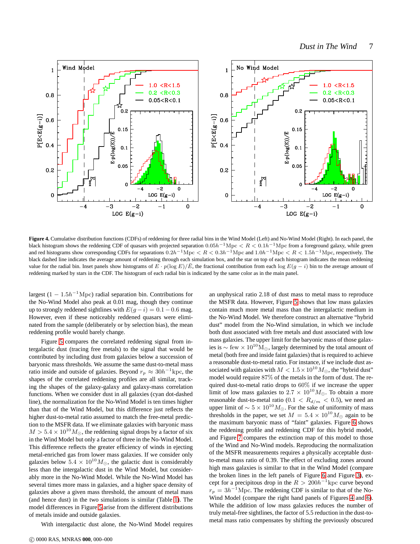

<span id="page-8-0"></span>**Figure 4.** Cumulative distribution functions (CDFs) of reddening for three radial bins in the Wind Model (Left) and No-Wind Model (Right). In each panel, the black histogram shows the reddening CDF of quasars with projected separation  $0.05h^{-1}\text{Mpc} < R < 0.1h^{-1}\text{Mpc}$  from a foreground galaxy, while green and red histograms show corresponding CDFs for separations  $0.2h^{-1}\text{Mpc} < R < 0.3h^{-1}\text{Mpc}$  and  $1.0h^{-1}\text{Mpc} < R < 1.5h^{-1}\text{Mpc}$ , respectively. The black dashed line indicates the average amount of reddening through each simulation box, and the star on top of each histogram indicates the mean reddening value for the radial bin. Inset panels show histograms of  $E \cdot p(\log E)/E$ , the fractional contribution from each log  $E(g - i)$  bin to the average amount of reddening marked by stars in the CDF. The histogram of each radial bin is indicated by the same color as in the main panel.

largest  $(1 - 1.5h^{-1}$ Mpc) radial separation bin. Contributions for the No-Wind Model also peak at 0.01 mag, though they continue up to strongly reddened sightlines with  $E(g - i) = 0.1 - 0.6$  mag. However, even if these noticeably reddened quasars were eliminated from the sample (deliberately or by selection bias), the mean reddening profile would barely change.

Figure [5](#page-9-1) compares the correlated reddening signal from intergalactic dust (tracing free metals) to the signal that would be contributed by including dust from galaxies below a succession of baryonic mass thresholds. We assume the same dust-to-metal mass ratio inside and outside of galaxies. Beyond  $r_p \approx 30h^{-1}$  kpc, the shapes of the correlated reddening profiles are all similar, tracking the shapes of the galaxy-galaxy and galaxy-mass correlation functions. When we consider dust in all galaxies (cyan dot-dashed line), the normalization for the No-Wind Model is ten times higher than that of the Wind Model, but this difference just reflects the higher dust-to-metal ratio assumed to match the free-metal prediction to the MSFR data. If we eliminate galaxies with baryonic mass  $M > 5.4 \times 10^{10} M_{\odot}$ , the reddening signal drops by a factor of six in the Wind Model but only a factor of three in the No-Wind Model. This difference reflects the greater efficiency of winds in ejecting metal-enriched gas from lower mass galaxies. If we consider only galaxies below  $5.4 \times 10^{10} M_{\odot}$ , the galactic dust is considerably less than the intergalactic dust in the Wind Model, but considerably more in the No-Wind Model. While the No-Wind Model has several times more mass in galaxies, and a higher space density of galaxies above a given mass threshold, the amount of metal mass (and hence dust) in the two simulations is similar (Table [1\)](#page-4-3). The model differences in Figure [5](#page-9-1) arise from the different distributions of metals inside and outside galaxies.

With intergalactic dust alone, the No-Wind Model requires

an unphysical ratio 2.18 of dust mass to metal mass to reproduce the MSFR data. However, Figure [5](#page-9-1) shows that low mass galaxies contain much more metal mass than the intergalactic medium in the No-Wind Model. We therefore construct an alternative "hybrid dust" model from the No-Wind simulation, in which we include both dust associated with free metals and dust associated with low mass galaxies. The upper limit for the baryonic mass of those galaxies is  $\sim$  few ×  $10^{10}$ M<sub>☉</sub>, largely determined by the total amount of metal (both free and inside faint galaxies) that is required to achieve a reasonable dust-to-metal ratio. For instance, if we include dust associated with galaxies with  $M < 1.5 \times 10^{10} M_{\odot}$ , the "hybrid dust" model would require 87% of the metals in the form of dust. The required dust-to-metal ratio drops to 60% if we increase the upper limit of low mass galaxies to  $2.7 \times 10^{10} M_{\odot}$ . To obtain a more reasonable dust-to-metal ratio (0.1  $\langle R_{d/m} \rangle$  < 0.5), we need an upper limit of  $\sim 5 \times 10^{10} M_{\odot}$ . For the sake of uniformity of mass thresholds in the paper, we set  $M = 5.4 \times 10^{10} M_{\odot}$  again to be the maximum baryonic mass of "faint" galaxies. Figure [6](#page-10-0) shows the reddening profile and reddening CDF for this hybrid model, and Figure [7](#page-11-1) compares the extinction map of this model to those of the Wind and No-Wind models. Reproducing the normalization of the MSFR measurements requires a physically acceptable dustto-metal mass ratio of 0.39. The effect of excluding zones around high mass galaxies is similar to that in the Wind Model (compare the broken lines in the left panels of Figure [6](#page-10-0) and Figure [3\)](#page-7-0), except for a precipitous drop in the  $R > 200h^{-1}$ kpc curve beyond  $r_p = 3h^{-1}$ Mpc. The reddening CDF is similar to that of the No-Wind Model (compare the right hand panels of Figures [4](#page-8-0) and [6\)](#page-10-0). While the addition of low mass galaxies reduces the number of truly metal-free sightlines, the factor of 5.5 reduction in the dust-tometal mass ratio compensates by shifting the previously obscured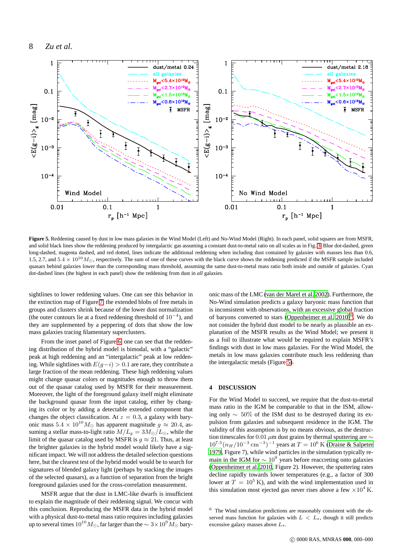

<span id="page-9-1"></span>**Figure 5.** Reddening caused by dust in low mass galaxies in the Wind Model (Left) and No-Wind Model (Right). In each panel, solid squares are from MSFR, and solid black lines show the reddening produced by intergalactic gas assuming a constant dust-to-metal ratio on all scales as in Fig. [3.](#page-7-0) Blue dot-dashed, green long-dashed, magenta dashed, and red dotted, lines indicate the additional reddening when including dust contained by galaxies with masses less than 0.6, 1.5, 2.7, and  $5.4 \times 10^{10} M_{\odot}$ , respectively. The sum of one of these curves with the black curve shows the reddening predicted if the MSFR sample included quasars behind galaxies lower than the corresponding mass threshold, assuming the same dust-to-metal mass ratio both inside and outside of galaxies. Cyan dot-dashed lines (the highest in each panel) show the reddening from dust in *all* galaxies.

sightlines to lower reddening values. One can see this behavior in the extinction map of Figure [7:](#page-11-1) the extended blobs of free metals in groups and clusters shrink because of the lower dust normalization (the outer contours lie at a fixed reddening threshold of  $10^{-4}$ ), and they are supplemented by a peppering of dots that show the low mass galaxies tracing filamentary superclusters.

From the inset panel of Figure [6,](#page-10-0) one can see that the reddening distribution of the hybrid model is bimodal, with a "galactic" peak at high reddening and an "intergalactic" peak at low reddening. While sightlines with  $E(q-i) > 0.1$  are rare, they contribute a large fraction of the mean reddening. These high reddening values might change quasar colors or magnitudes enough to throw them out of the quasar catalog used by MSFR for their measurement. Moreover, the light of the foreground galaxy itself might eliminate the background quasar from the input catalog, either by changing its color or by adding a detectable extended component that changes the object classification. At  $z = 0.3$ , a galaxy with baryonic mass  $5.4 \times 10^{10} M_{\odot}$  has apparent magnitude  $g \approx 20.4$ , assuming a stellar mass-to-light ratio  $M/L_g = 3M_{\odot}/L_{\odot}$ , while the limit of the quasar catalog used by MSFR is  $g \approx 21$ . Thus, at least the brighter galaxies in the hybrid model would likely have a significant impact. We will not address the detailed selection questions here, but the clearest test of the hybrid model would be to search for signatures of blended galaxy light (perhaps by stacking the images of the selected quasars), as a function of separation from the bright foreground galaxies used for the cross-correlation measurement.

MSFR argue that the dust in LMC-like dwarfs is insufficient to explain the magnitude of their reddening signal. We concur with this conclusion. Reproducing the MSFR data in the hybrid model with a physical dust-to-metal mass ratio requires including galaxies up to several times  $10^{10}M_{\odot}$ , far larger than the  $\sim 3\times 10^{9}M_{\odot}$  baryonic mass of the LMC [\(van der Marel et al. 2002](#page-13-11)). Furthermore, the No-Wind simulation predicts a galaxy baryonic mass function that is inconsistent with observations, with an excessive global fraction of baryons converted to stars (Oppenheimer et al.  $2010)^6$  $2010)^6$ . We do not consider the hybrid dust model to be nearly as plausible an explanation of the MSFR results as the Wind Model; we present it as a foil to illustrate what would be required to explain MSFR's findings with dust in low mass galaxies. For the Wind Model, the metals in low mass galaxies contribute much less reddening than the intergalactic metals (Figure [5\)](#page-9-1).

#### <span id="page-9-0"></span>**4 DISCUSSION**

For the Wind Model to succeed, we require that the dust-to-metal mass ratio in the IGM be comparable to that in the ISM, allowing only ∼ 50% of the ISM dust to be destroyed during its expulsion from galaxies and subsequent residence in the IGM. The validity of this assumption is by no means obvious, as the destruction timescales for 0.01  $\mu$ m dust grains by thermal sputtering are  $\sim$  $10^{7.5} (n_H/10^{-3} \text{ cm}^{-3})^{-1}$  years at  $T = 10^6$  K [\(Draine & Salpeter](#page-12-18) [1979](#page-12-18), Figure 7), while wind particles in the simulation typically remain in the IGM for  $\sim 10^9$  years before reaccreting onto galaxies [\(Oppenheimer et al. 2010,](#page-13-9) Figure 2). However, the sputtering rates decline rapidly towards lower temperatures (e.g., a factor of 300 lower at  $T = 10^5$  K), and with the wind implementation used in this simulation most ejected gas never rises above a few  $\times 10^4$  K.

<span id="page-9-2"></span> $6$  The Wind simulation predictions are reasonably consistent with the observed mass function for galaxies with  $L < L_*$ , though it still predicts excessive galaxy masses above  $L_*$ .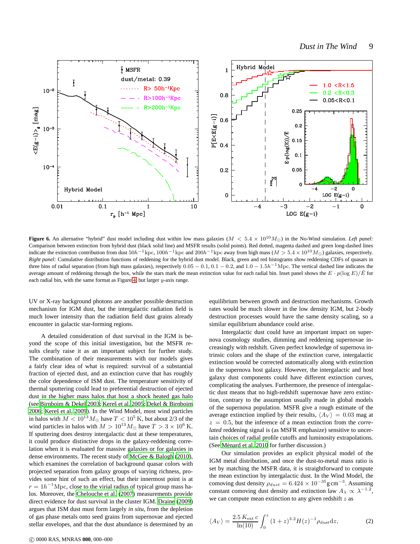

<span id="page-10-0"></span>**Figure 6.** An alternative "hybrid" dust model including dust within low mass galaxies ( $M < 5.4 \times 10^{10} M_{\odot}$ ) in the No-Wind simulation. *Left panel:* Comparison between extinction from hybrid dust (black solid line) and MSFR results (solid points). Red dotted, magenta dashed and green long-dashed lines indicate the extinction contribution from dust  $50h^{-1}$ kpc,  $100h^{-1}$ kpc and  $200h^{-1}$ kpc away from high mass ( $M > 5.4 \times 10^{10}$   $M_{\odot}$ ) galaxies, respectively. *Right panel:* Cumulative distribution functions of reddening for the hybrid dust model. Black, green and red histograms show reddening CDFs of quasars in three bins of radial separation (from high mass galaxies), respectively  $0.05 - 0.1$ ,  $0.1 - 0.2$ , and  $1.0 - 1.5h^{-1}$  Mpc. The vertical dashed line indicates the average amount of reddening through the box, while the stars mark the mean extinction value for each radial bin. Inset panel shows the  $E \cdot p(\log E)/E$  for each radial bin, with the same format as Figure [4,](#page-8-0) but larger  $y$ -axis range.

UV or X-ray background photons are another possible destruction mechanism for IGM dust, but the intergalactic radiation field is much lower intensity than the radiation field dust grains already encounter in galactic star-forming regions.

A detailed consideration of dust survival in the IGM is beyond the scope of this initial investigation, but the MSFR results clearly raise it as an important subject for further study. The combination of their measurements with our models gives a fairly clear idea of what is required: survival of a substantial fraction of ejected dust, and an extinction curve that has roughly the color dependence of ISM dust. The temperature sensitivity of thermal sputtering could lead to preferential destruction of ejected dust in the higher mass halos that host a shock heated gas halo (see [Birnboim & Dekel 2003](#page-12-19); Kereš et al. 2005; [Dekel & Birnboim](#page-12-21) [2006](#page-12-21); Kereš et al. 2009). In the Wind Model, most wind particles in halos with  $M < 10^{13} M_{\odot}$  have  $T < 10^5$  K, but about 2/3 of the wind particles in halos with  $M > 10^{13} M_{\odot}$  have  $T > 3 \times 10^6$  K. If sputtering does destroy intergalactic dust at these temperatures, it could produce distinctive drops in the galaxy-reddening correlation when it is evaluated for massive galaxies or for galaxies in dense environments. The recent study of [McGee & Balogh \(2010](#page-12-23)), which examines the correlation of background quasar colors with projected separation from galaxy groups of varying richness, provides some hint of such an effect, but their innermost point is at  $r = 1h^{-1}$ Mpc, close to the virial radius of typical group mass halos. Moreover, the [Chelouche et al. \(2007\)](#page-12-5) measurements provide direct evidence for dust survival in the cluster IGM. [Draine](#page-12-0) [\(2009](#page-12-0)) argues that ISM dust must form largely *in situ*, from the depletion of gas phase metals onto seed grains from supernovae and ejected stellar envelopes, and that the dust abundance is determined by an equilibrium between growth and destruction mechanisms. Growth rates would be much slower in the low density IGM, but 2-body destruction processes would have the same density scaling, so a similar equilibrium abundance could arise.

Intergalactic dust could have an important impact on supernova cosmology studies, dimming and reddening supernovae increasingly with redshift. Given perfect knowledge of supernova intrinsic colors and the shape of the extinction curve, intergalactic extinction would be corrected automatically along with extinction in the supernova host galaxy. However, the intergalactic and host galaxy dust components could have different extinction curves, complicating the analyses. Furthermore, the presence of intergalactic dust means that no high-redshift supernovae have zero extinction, contrary to the assumption usually made in global models of the supernova population. MSFR give a rough estimate of the average extinction implied by their results,  $\langle A_V \rangle = 0.03$  mag at  $z = 0.5$ , but the inference of a mean extinction from the *correlated* reddening signal is (as MSFR emphasize) sensitive to uncertain choices of radial profile cutoffs and luminosity extrapolations. (See Ménard et al. 2010 for further discussion.)

Our simulation provides an explicit physical model of the IGM metal distribution, and once the dust-to-metal mass ratio is set by matching the MSFR data, it is straightforward to compute the mean extinction by intergalactic dust. In the Wind Model, the comoving dust density  $\rho_{dust} = 6.424 \times 10^{-35}$ g cm<sup>-3</sup>. Assuming constant comoving dust density and extinction law  $A_{\lambda} \propto \lambda^{-1.2}$ , we can compute mean extinction to any given redshift  $z$  as

$$
\langle A_V \rangle = \frac{2.5 \, K_{\text{ext}} \, c}{\ln(10)} \int_0^z \left(1+z\right)^{3.2} H(z)^{-1} \rho_{\text{dust}} \text{d}z,\tag{2}
$$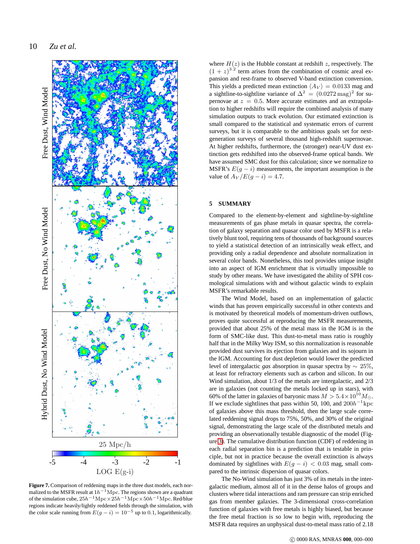

<span id="page-11-1"></span>**Figure 7.** Comparison of reddening maps in the three dust models, each normalized to the MSFR result at  $1h^{-1}\rm{Mpc}$ . The regions shown are a quadrant of the simulation cube,  $25h^{-1}\text{Mpc} \times 25h^{-1}\text{Mpc} \times 50h^{-1}\text{Mpc}$ . Red/blue regions indicate heavily/lightly reddened fields through the simulation, with the color scale running from  $E(g - i) = 10^{-5}$  up to 0.1, logarithmically.

where  $H(z)$  is the Hubble constant at redshift z, respectively. The  $(1 + z)^{3.2}$  term arises from the combination of cosmic areal expansion and rest-frame to observed V-band extinction conversion. This yields a predicted mean extinction  $\langle A_V \rangle = 0.0133$  mag and a sightline-to-sightline variance of  $\Delta^2 = (0.0272 \,\text{mag})^2$  for supernovae at  $z = 0.5$ . More accurate estimates and an extrapolation to higher redshifts will require the combined analysis of many simulation outputs to track evolution. Our estimated extinction is small compared to the statistical and systematic errors of current surveys, but it is comparable to the ambitious goals set for nextgeneration surveys of several thousand high-redshift supernovae. At higher redshifts, furthermore, the (stronger) near-UV dust extinction gets redshifted into the observed-frame optical bands. We have assumed SMC dust for this calculation; since we normalize to MSFR's  $E(g - i)$  measurements, the important assumption is the value of  $A_V/E(g - i) = 4.7$ .

### <span id="page-11-0"></span>**5 SUMMARY**

Compared to the element-by-element and sightline-by-sightline measurements of gas phase metals in quasar spectra, the correlation of galaxy separation and quasar color used by MSFR is a relatively blunt tool, requiring tens of thousands of background sources to yield a statistical detection of an intrinsically weak effect, and providing only a radial dependence and absolute normalization in several color bands. Nonetheless, this tool provides unique insight into an aspect of IGM enrichment that is virtually impossible to study by other means. We have investigated the ability of SPH cosmological simulations with and without galactic winds to explain MSFR's remarkable results.

The Wind Model, based on an implementation of galactic winds that has proven empirically successful in other contexts and is motivated by theoretical models of momentum-driven outflows, proves quite successful at reproducing the MSFR measurements, provided that about 25% of the metal mass in the IGM is in the form of SMC-like dust. This dust-to-metal mass ratio is roughly half that in the Milky Way ISM, so this normalization is reasonable provided dust survives its ejection from galaxies and its sojourn in the IGM. Accounting for dust depletion would lower the predicted level of intergalactic *gas* absorption in quasar spectra by ∼ 25%, at least for refractory elements such as carbon and silicon. In our Wind simulation, about 1/3 of the metals are intergalactic, and 2/3 are in galaxies (not counting the metals locked up in stars), with 60% of the latter in galaxies of baryonic mass  $M > 5.4 \times 10^{10} M_{\odot}$ . If we exclude sightlines that pass within 50, 100, and  $200h^{-1}$ kpc of galaxies above this mass threshold, then the large scale correlated reddening signal drops to 75%, 50%, and 30% of the original signal, demonstrating the large scale of the distributed metals and providing an observationally testable diagnostic of the model (Figure [3\)](#page-7-0). The cumulative distribution function (CDF) of reddening in each radial separation bin is a prediction that is testable in principle, but not in practice because the overall extinction is always dominated by sightlines with  $E(q - i) < 0.03$  mag, small compared to the intrinsic dispersion of quasar colors.

The No-Wind simulation has just 3% of its metals in the intergalactic medium, almost all of it in the dense halos of groups and clusters where tidal interactions and ram pressure can strip enriched gas from member galaxies. The 3-dimensional cross-correlation function of galaxies with free metals is highly biased, but because the free metal fraction is so low to begin with, reproducing the MSFR data requires an unphysical dust-to-metal mass ratio of 2.18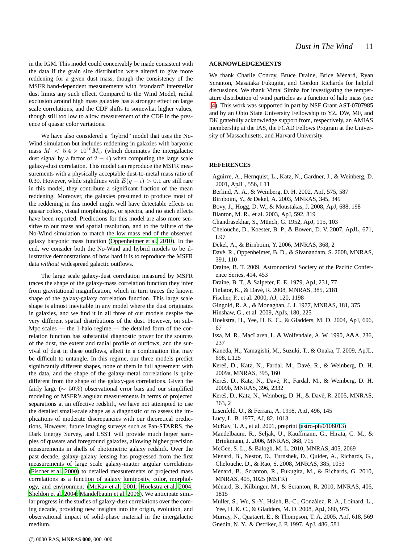in the IGM. This model could conceivably be made consistent with the data if the grain size distribution were altered to give more reddening for a given dust mass, though the consistency of the MSFR band-dependent measurements with "standard" interstellar dust limits any such effect. Compared to the Wind Model, radial exclusion around high mass galaxies has a stronger effect on large scale correlations, and the CDF shifts to somewhat higher values, though still too low to allow measurement of the CDF in the presence of quasar color variations.

We have also considered a "hybrid" model that uses the No-Wind simulation but includes reddening in galaxies with baryonic mass  $M < 5.4 \times 10^{10} M_{\odot}$  (which dominates the intergalactic dust signal by a factor of  $2 - 4$ ) when computing the large scale galaxy-dust correlation. This model can reproduce the MSFR measurements with a physically acceptable dust-to-metal mass ratio of 0.39. However, while sightlines with  $E(q - i) > 0.1$  are still rare in this model, they contribute a significant fraction of the mean reddening. Moreover, the galaxies presumed to produce most of the reddening in this model might well have detectable effects on quasar colors, visual morphologies, or spectra, and no such effects have been reported. Predictions for this model are also more sensitive to our mass and spatial resolution, and to the failure of the No-Wind simulation to match the low mass end of the observed galaxy baryonic mass function [\(Oppenheimer et al. 2010](#page-13-9)). In the end, we consider both the No-Wind and hybrid models to be illustrative demonstrations of how hard it is to reproduce the MSFR data *without* widespread galactic outflows.

The large scale galaxy-dust correlation measured by MSFR traces the shape of the galaxy-mass correlation function they infer from gravitational magnification, which in turn traces the known shape of the galaxy-galaxy correlation function. This large scale shape is almost inevitable in any model where the dust originates in galaxies, and we find it in all three of our models despite the very different spatial distributions of the dust. However, on sub-Mpc scales — the 1-halo regime — the detailed form of the correlation function has substantial diagnostic power for the sources of the dust, the extent and radial profile of outflows, and the survival of dust in these outflows, albeit in a combination that may be difficult to untangle. In this regime, our three models predict significantly different shapes, none of them in full agreement with the data, and the shape of the galaxy-metal correlations is quite different from the shape of the galaxy-gas correlations. Given the fairly large (∼ 50%) observational error bars and our simplified modeling of MSFR's angular measurements in terms of projected separations at an effective redshift, we have not attempted to use the detailed small-scale shape as a diagnostic or to assess the implications of moderate discrepancies with our theoretical predictions. However, future imaging surveys such as Pan-STARRS, the Dark Energy Survey, and LSST will provide much larger samples of quasars and foreground galaxies, allowing higher precision measurements in shells of photometric galaxy redshift. Over the past decade, galaxy-galaxy lensing has progressed from the first measurements of large scale galaxy-matter angular correlations [\(Fischer et al. 2000](#page-12-25)) to detailed measurements of projected mass correlations as a function of galaxy luminosity, color, morphology, and environment [\(McKay et al. 2001](#page-12-26); [Hoekstra et al. 2004;](#page-12-27) [Sheldon et al. 2004](#page-13-12); [Mandelbaum et al. 2006\)](#page-12-28). We anticipate similar progress in the studies of galaxy-dust correlations over the coming decade, providing new insights into the origin, evolution, and observational impact of solid-phase material in the intergalactic medium.

#### **ACKNOWLEDGEMENTS**

We thank Charlie Conroy, Bruce Draine, Brice Ménard, Ryan Scranton, Masataka Fukugita, and Gordon Richards for helpful discussions. We thank Vimal Simha for investigating the temperature distribution of wind particles as a function of halo mass (see §[4\)](#page-9-0). This work was supported in part by NSF Grant AST-0707985 and by an Ohio State University Fellowship to YZ. DW, MF, and DK gratefully acknowledge support from, respectively, an AMIAS membership at the IAS, the FCAD Fellows Program at the University of Massachusetts, and Harvard University.

#### **REFERENCES**

- <span id="page-12-8"></span>Aguirre, A., Hernquist, L., Katz, N., Gardner, J., & Weinberg, D. 2001, ApJL, 556, L11
- Berlind, A. A., & Weinberg, D. H. 2002, ApJ, 575, 587
- <span id="page-12-19"></span>Birnboim, Y., & Dekel, A. 2003, MNRAS, 345, 349
- <span id="page-12-6"></span>Bovy, J., Hogg, D. W., & Moustakas, J. 2008, ApJ, 688, 198
- <span id="page-12-14"></span>Blanton, M. R., et al. 2003, ApJ, 592, 819
- <span id="page-12-1"></span>Chandrasekhar, S., Münch, G. 1952, ApJ, 115, 103
- <span id="page-12-5"></span>Chelouche, D., Koester, B. P., & Bowen, D. V. 2007, ApJL, 671, L97
- <span id="page-12-21"></span>Dekel, A., & Birnboim, Y. 2006, MNRAS, 368, 2
- <span id="page-12-13"></span>Davé, R., Oppenheimer, B. D., & Sivanandam, S. 2008, MNRAS, 391, 110
- <span id="page-12-0"></span>Draine, B. T. 2009, Astronomical Society of the Pacific Conference Series, 414, 453
- <span id="page-12-18"></span>Draine, B. T., & Salpeter, E. E. 1979, ApJ, 231, 77
- <span id="page-12-12"></span>Finlator, K., & Davé, R. 2008, MNRAS, 385, 2181
- <span id="page-12-25"></span>Fischer, P., et al. 2000, AJ, 120, 1198
- <span id="page-12-10"></span>Gingold, R. A., & Monaghan, J. J. 1977, MNRAS, 181, 375
- <span id="page-12-11"></span>Hinshaw, G., et al. 2009, ApJs, 180, 225
- <span id="page-12-27"></span>Hoekstra, H., Yee, H. K. C., & Gladders, M. D. 2004, ApJ, 606, 67
- <span id="page-12-17"></span>Issa, M. R., MacLaren, I., & Wolfendale, A. W. 1990, A&A, 236, 237
- <span id="page-12-3"></span>Kaneda, H., Yamagishi, M., Suzuki, T., & Onaka, T. 2009, ApJL, 698, L125
- <span id="page-12-22"></span>Kereš, D., Katz, N., Fardal, M., Davé, R., & Weinberg, D. H. 2009a, MNRAS, 395, 160
- Kereš, D., Katz, N., Davé, R., Fardal, M., & Weinberg, D. H. 2009b, MNRAS, 396, 2332
- <span id="page-12-20"></span>Kereš, D., Katz, N., Weinberg, D. H., & Davé, R. 2005, MNRAS, 363, 2
- <span id="page-12-16"></span>Lisenfeld, U., & Ferrara, A. 1998, ApJ, 496, 145
- <span id="page-12-9"></span>Lucy, L. B. 1977, AJ, 82, 1013
- <span id="page-12-26"></span>McKay, T. A., et al. 2001, preprint [\(astro-ph/0108013\)](http://arxiv.org/abs/astro-ph/0108013)
- <span id="page-12-28"></span>Mandelbaum, R., Seljak, U., Kauffmann, G., Hirata, C. M., & Brinkmann, J. 2006, MNRAS, 368, 715
- <span id="page-12-23"></span>McGee, S. L., & Balogh, M. L. 2010, MNRAS, 405, 2069
- <span id="page-12-2"></span>Ménard, B., Nestor, D., Turnshek, D., Quider, A., Richards, G., Chelouche, D., & Rao, S. 2008, MNRAS, 385, 1053
- Ménard, B., Scranton, R., Fukugita, M., & Richards, G. 2010, MNRAS, 405, 1025 (MSFR)
- <span id="page-12-24"></span>Ménard, B., Kilbinger, M., & Scranton, R. 2010, MNRAS, 406, 1815
- <span id="page-12-4"></span>Muller, S., Wu, S.-Y., Hsieh, B.-C., González, R. A., Loinard, L., Yee, H. K. C., & Gladders, M. D. 2008, ApJ, 680, 975
- <span id="page-12-15"></span><span id="page-12-7"></span>Murray, N., Quataert, E., & Thompson, T. A. 2005, ApJ, 618, 569 Gnedin, N. Y., & Ostriker, J. P. 1997, ApJ, 486, 581